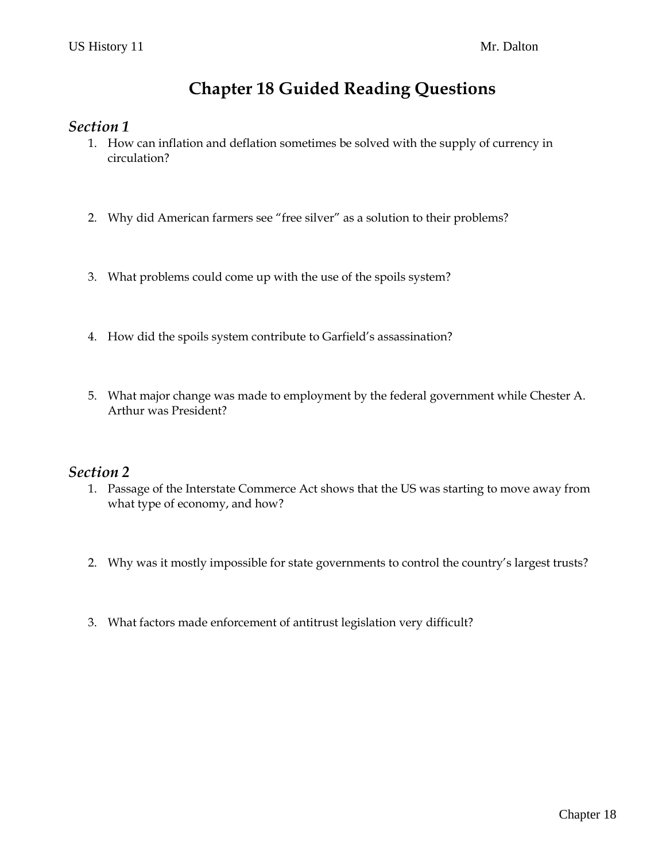# **Chapter 18 Guided Reading Questions**

### *Section 1*

- 1. How can inflation and deflation sometimes be solved with the supply of currency in circulation?
- 2. Why did American farmers see "free silver" as a solution to their problems?
- 3. What problems could come up with the use of the spoils system?
- 4. How did the spoils system contribute to Garfield's assassination?
- 5. What major change was made to employment by the federal government while Chester A. Arthur was President?

#### *Section 2*

- 1. Passage of the Interstate Commerce Act shows that the US was starting to move away from what type of economy, and how?
- 2. Why was it mostly impossible for state governments to control the country's largest trusts?
- 3. What factors made enforcement of antitrust legislation very difficult?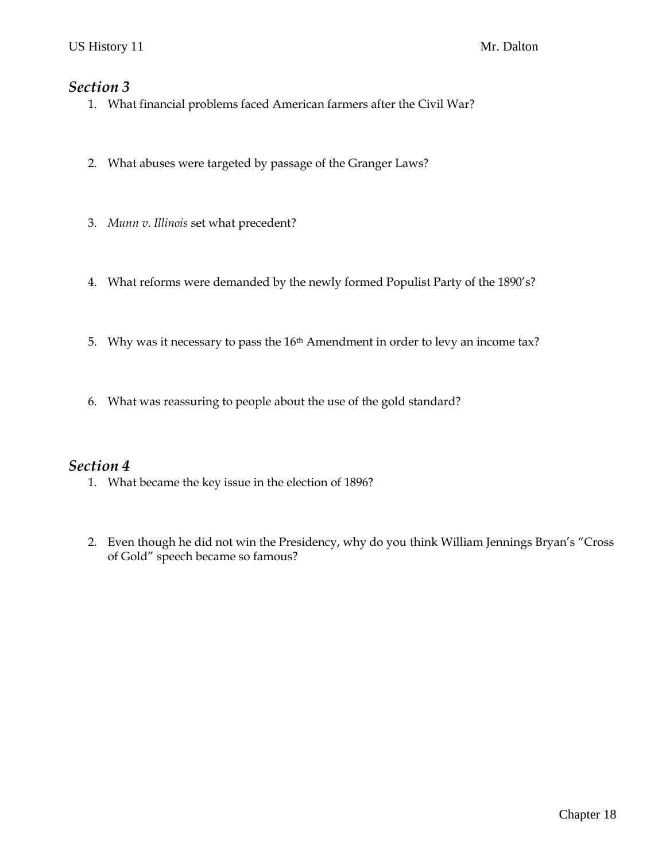### *Section 3*

- 1. What financial problems faced American farmers after the Civil War?
- 2. What abuses were targeted by passage of the Granger Laws?
- 3. *Munn v. Illinois* set what precedent?
- 4. What reforms were demanded by the newly formed Populist Party of the 1890's?
- 5. Why was it necessary to pass the 16th Amendment in order to levy an income tax?
- 6. What was reassuring to people about the use of the gold standard?

### *Section 4*

- 1. What became the key issue in the election of 1896?
- 2. Even though he did not win the Presidency, why do you think William Jennings Bryan's "Cross of Gold" speech became so famous?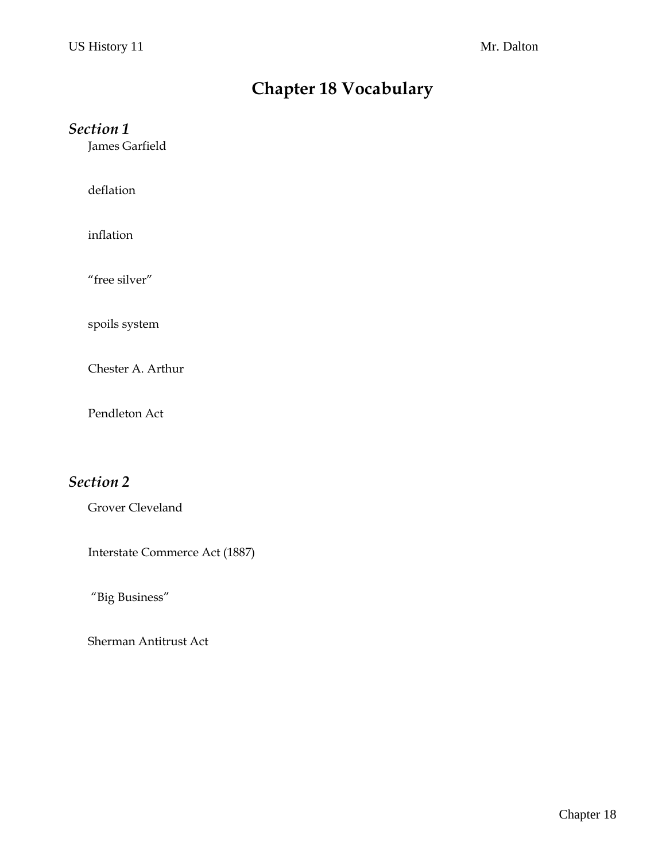# **Chapter 18 Vocabulary**

## *Section 1*

James Garfield

deflation

inflation

"free silver"

spoils system

Chester A. Arthur

Pendleton Act

## *Section 2*

Grover Cleveland

Interstate Commerce Act (1887)

"Big Business"

Sherman Antitrust Act